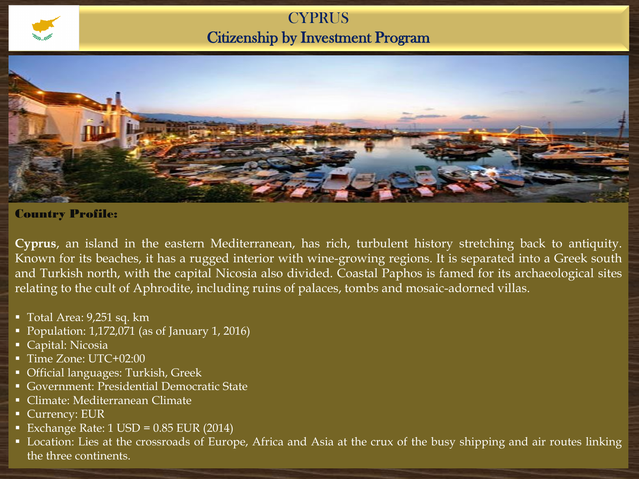# **CYPRUS** Citizenship by Investment Program



#### Country Profile:

**Cyprus**, an island in the eastern Mediterranean, has rich, turbulent history stretching back to antiquity. Known for its beaches, it has a rugged interior with wine-growing regions. It is separated into a Greek south and Turkish north, with the capital Nicosia also divided. Coastal Paphos is famed for its archaeological sites relating to the cult of Aphrodite, including ruins of palaces, tombs and mosaic-adorned villas.

- $\blacksquare$  Total Area: 9,251 sq. km
- Population: 1,172,071 (as of January 1, 2016)
- Capital: Nicosia
- Time Zone: UTC+02:00
- Official languages: Turkish, Greek
- Government: Presidential Democratic State
- Climate: Mediterranean Climate
- **Currency: EUR**
- Exchange Rate:  $1$  USD = 0.85 EUR (2014)
- **Location: Lies at the crossroads of Europe, Africa and Asia at the crux of the busy shipping and air routes linking** the three continents.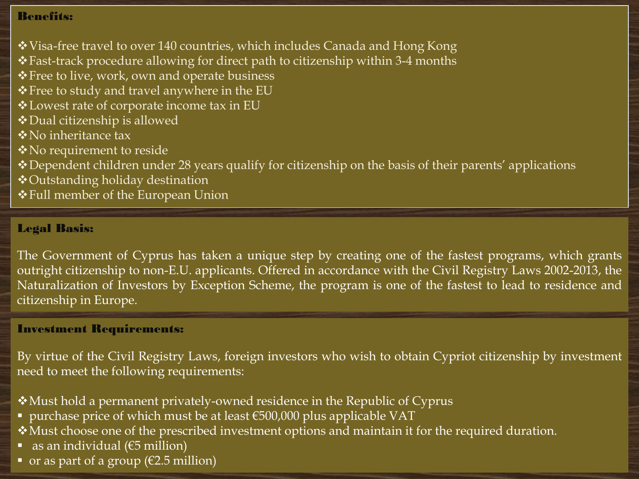### Benefits:

- Visa-free travel to over 140 countries, which includes Canada and Hong Kong
- Fast-track procedure allowing for direct path to citizenship within 3-4 months
- Free to live, work, own and operate business
- \* Free to study and travel anywhere in the EU
- Lowest rate of corporate income tax in EU
- Dual citizenship is allowed
- No inheritance tax
- No requirement to reside
- Dependent children under 28 years qualify for citizenship on the basis of their parents' applications
- Outstanding holiday destination
- Full member of the European Union

### Legal Basis:

The Government of Cyprus has taken a unique step by creating one of the fastest programs, which grants outright citizenship to non-E.U. applicants. Offered in accordance with the Civil Registry Laws 2002-2013, the Naturalization of Investors by Exception Scheme, the program is one of the fastest to lead to residence and citizenship in Europe.

#### Investment Requirements:

By virtue of the Civil Registry Laws, foreign investors who wish to obtain Cypriot citizenship by investment need to meet the following requirements:

- Must hold a permanent privately-owned residence in the Republic of Cyprus
- purchase price of which must be at least  $\epsilon$ 500,000 plus applicable VAT
- \* Must choose one of the prescribed investment options and maintain it for the required duration.
- as an individual ( $€5$  million)
- $\bullet$  or as part of a group ( $\epsilon$ 2.5 million)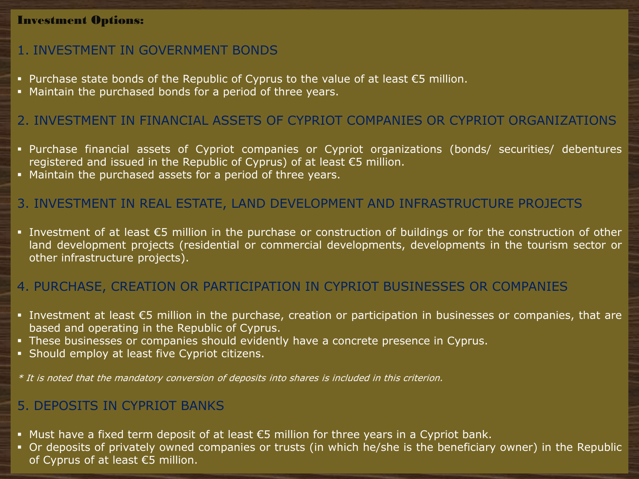### Investment Options:

# 1. INVESTMENT IN GOVERNMENT BONDS

- Purchase state bonds of the Republic of Cyprus to the value of at least  $\epsilon$ 5 million.
- Maintain the purchased bonds for a period of three years.

### 2. INVESTMENT IN FINANCIAL ASSETS OF CYPRIOT COMPANIES OR CYPRIOT ORGANIZATIONS

- Purchase financial assets of Cypriot companies or Cypriot organizations (bonds/ securities/ debentures registered and issued in the Republic of Cyprus) of at least €5 million.
- Maintain the purchased assets for a period of three years.

# 3. INVESTMENT IN REAL ESTATE, LAND DEVELOPMENT AND INFRASTRUCTURE PROJECTS

■ Investment of at least  $\epsilon$ 5 million in the purchase or construction of buildings or for the construction of other land development projects (residential or commercial developments, developments in the tourism sector or other infrastructure projects).

### 4. PURCHASE, CREATION OR PARTICIPATION IN CYPRIOT BUSINESSES OR COMPANIES

- Investment at least €5 million in the purchase, creation or participation in businesses or companies, that are based and operating in the Republic of Cyprus.
- **These businesses or companies should evidently have a concrete presence in Cyprus.**
- Should employ at least five Cypriot citizens.

 $^\ast$  It is noted that the mandatory conversion of deposits into shares is included in this criterion.

# 5. DEPOSITS IN CYPRIOT BANKS

- Must have a fixed term deposit of at least  $€5$  million for three years in a Cypriot bank.
- Or deposits of privately owned companies or trusts (in which he/she is the beneficiary owner) in the Republic of Cyprus of at least €5 million.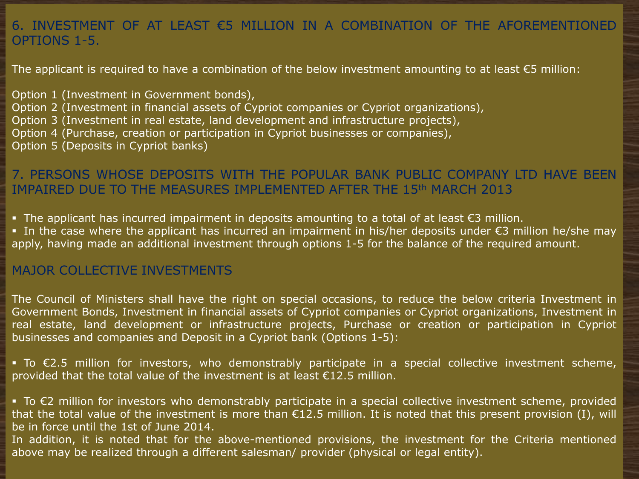# 6. INVESTMENT OF AT LEAST €5 MILLION IN A COMBINATION OF THE AFOREMENTIONED OPTIONS 1-5.

The applicant is required to have a combination of the below investment amounting to at least  $\epsilon$ 5 million:

Option 1 (Investment in Government bonds), Option 2 (Investment in financial assets of Cypriot companies or Cypriot organizations), Option 3 (Investment in real estate, land development and infrastructure projects), Option 4 (Purchase, creation or participation in Cypriot businesses or companies), Option 5 (Deposits in Cypriot banks)

# 7. PERSONS WHOSE DEPOSITS WITH THE POPULAR BANK PUBLIC COMPANY LTD HAVE BEEN IMPAIRED DUE TO THE MEASURES IMPLEMENTED AFTER THE 15th MARCH 2013

The applicant has incurred impairment in deposits amounting to a total of at least  $\epsilon$ 3 million.

 In the case where the applicant has incurred an impairment in his/her deposits under €3 million he/she may apply, having made an additional investment through options 1-5 for the balance of the required amount.

# MAJOR COLLECTIVE INVESTMENTS

The Council of Ministers shall have the right on special occasions, to reduce the below criteria Investment in Government Bonds, Investment in financial assets of Cypriot companies or Cypriot organizations, Investment in real estate, land development or infrastructure projects, Purchase or creation or participation in Cypriot businesses and companies and Deposit in a Cypriot bank (Options 1-5):

 To €2.5 million for investors, who demonstrably participate in a special collective investment scheme, provided that the total value of the investment is at least €12.5 million.

■ To €2 million for investors who demonstrably participate in a special collective investment scheme, provided that the total value of the investment is more than  $E12.5$  million. It is noted that this present provision (I), will be in force until the 1st of June 2014.

In addition, it is noted that for the above-mentioned provisions, the investment for the Criteria mentioned above may be realized through a different salesman/ provider (physical or legal entity).